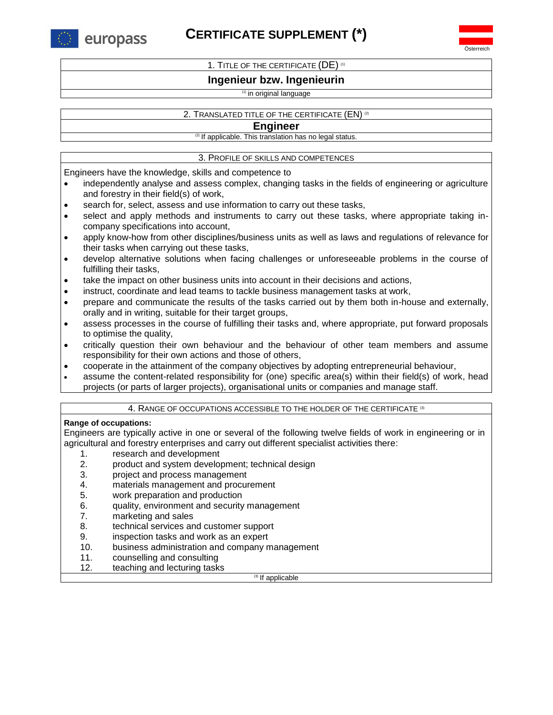europass

# **CERTIFICATE SUPPLEMENT (\*)**

Österreich

1. TITLE OF THE CERTIFICATE (DE) (1)

## **Ingenieur bzw. Ingenieurin**

## (1) in original language

## 2. TRANSLATED TITLE OF THE CERTIFICATE (EN) <sup>(2)</sup>

## **Engineer**

<sup>(2)</sup> If applicable. This translation has no legal status.

## 3. PROFILE OF SKILLS AND COMPETENCES

Engineers have the knowledge, skills and competence to

- independently analyse and assess complex, changing tasks in the fields of engineering or agriculture and forestry in their field(s) of work,
- search for, select, assess and use information to carry out these tasks,
- select and apply methods and instruments to carry out these tasks, where appropriate taking incompany specifications into account,
- apply know-how from other disciplines/business units as well as laws and regulations of relevance for their tasks when carrying out these tasks,
- develop alternative solutions when facing challenges or unforeseeable problems in the course of fulfilling their tasks,
- take the impact on other business units into account in their decisions and actions,
- instruct, coordinate and lead teams to tackle business management tasks at work,
- prepare and communicate the results of the tasks carried out by them both in-house and externally, orally and in writing, suitable for their target groups,
- assess processes in the course of fulfilling their tasks and, where appropriate, put forward proposals to optimise the quality,
- critically question their own behaviour and the behaviour of other team members and assume responsibility for their own actions and those of others,
- cooperate in the attainment of the company objectives by adopting entrepreneurial behaviour,
- assume the content-related responsibility for (one) specific area(s) within their field(s) of work, head projects (or parts of larger projects), organisational units or companies and manage staff.

## 4. RANGE OF OCCUPATIONS ACCESSIBLE TO THE HOLDER OF THE CERTIFICATE <sup>(3)</sup>

## **Range of occupations:**

Engineers are typically active in one or several of the following twelve fields of work in engineering or in agricultural and forestry enterprises and carry out different specialist activities there:

- 1. research and development
- 2. product and system development; technical design
- 3. project and process management
- 4. materials management and procurement
- 5. work preparation and production
- 6. quality, environment and security management
- 7. marketing and sales
- 8. technical services and customer support
- 9. inspection tasks and work as an expert
- 10. business administration and company management
- 11. counselling and consulting
- 12. teaching and lecturing tasks

(3) If applicable